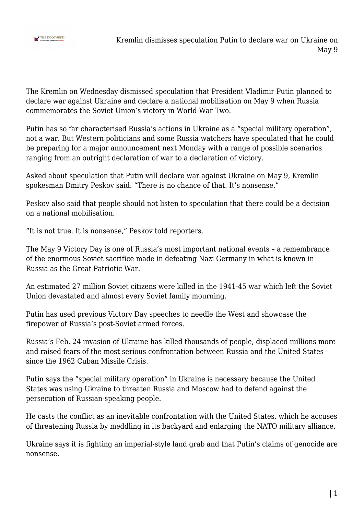

The Kremlin on Wednesday dismissed speculation that President Vladimir Putin planned to declare war against Ukraine and declare a national mobilisation on May 9 when Russia commemorates the Soviet Union's victory in World War Two.

Putin has so far characterised Russia's actions in Ukraine as a "special military operation", not a war. But Western politicians and some Russia watchers have speculated that he could be preparing for a major announcement next Monday with a range of possible scenarios ranging from an outright declaration of war to a declaration of victory.

Asked about speculation that Putin will declare war against Ukraine on May 9, Kremlin spokesman Dmitry Peskov said: "There is no chance of that. It's nonsense."

Peskov also said that people should not listen to speculation that there could be a decision on a national mobilisation.

"It is not true. It is nonsense," Peskov told reporters.

The May 9 Victory Day is one of Russia's most important national events – a remembrance of the enormous Soviet sacrifice made in defeating Nazi Germany in what is known in Russia as the Great Patriotic War.

An estimated 27 million Soviet citizens were killed in the 1941-45 war which left the Soviet Union devastated and almost every Soviet family mourning.

Putin has used previous Victory Day speeches to needle the West and showcase the firepower of Russia's post-Soviet armed forces.

Russia's Feb. 24 invasion of Ukraine has killed thousands of people, displaced millions more and raised fears of the most serious confrontation between Russia and the United States since the 1962 Cuban Missile Crisis.

Putin says the "special military operation" in Ukraine is necessary because the United States was using Ukraine to threaten Russia and Moscow had to defend against the persecution of Russian-speaking people.

He casts the conflict as an inevitable confrontation with the United States, which he accuses of threatening Russia by meddling in its backyard and enlarging the NATO military alliance.

Ukraine says it is fighting an imperial-style land grab and that Putin's claims of genocide are nonsense.